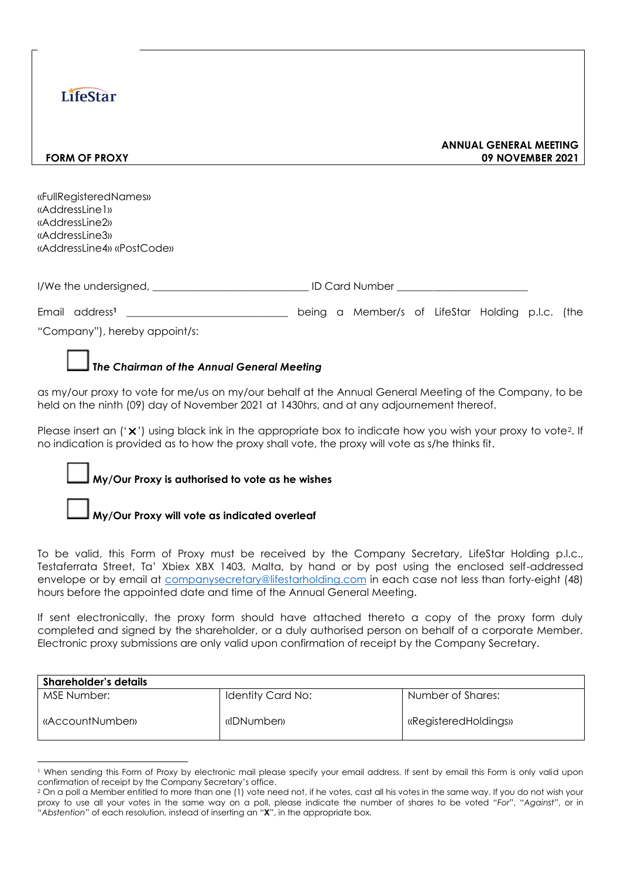## **LifeStar**

#### **ANNUAL GENERAL MEETING FORM OF PROXY 09 NOVEMBER 2021**

«FullRegisteredNames» «AddressLine1» «AddressLine2» «AddressLine3» «AddressLine4» «PostCode»

| I/We the undersigned, | ID Card Number |
|-----------------------|----------------|
|-----------------------|----------------|

Email address**<sup>1</sup>** \_\_\_\_\_\_\_\_\_\_\_\_\_\_\_\_\_\_\_\_\_\_\_\_\_\_\_\_\_\_\_ being a Member/s of LifeStar Holding p.l.c. (the

"Company"), hereby appoint/s:

## **T***he Chairman of the Annual General Meeting*

as my/our proxy to vote for me/us on my/our behalf at the Annual General Meeting of the Company, to be held on the ninth (09) day of November 2021 at 1430hrs, and at any adjournement thereof.

Please insert an  $('x')$  using black ink in the appropriate box to indicate how you wish your proxy to vote?. If no indication is provided as to how the proxy shall vote, the proxy will vote as s/he thinks fit.

### **My/Our Proxy is authorised to vote as he wishes**

### **My/Our Proxy will vote as indicated overleaf**

To be valid, this Form of Proxy must be received by the Company Secretary, LifeStar Holding p.l.c., Testaferrata Street, Ta' Xbiex XBX 1403, Malta, by hand or by post using the enclosed self-addressed envelope or by email at [companysecretary@lifestarholding.com](mailto:companysecretary@lifestarholding.com) in each case not less than forty-eight (48) hours before the appointed date and time of the Annual General Meeting.

If sent electronically, the proxy form should have attached thereto a copy of the proxy form duly completed and signed by the shareholder, or a duly authorised person on behalf of a corporate Member. Electronic proxy submissions are only valid upon confirmation of receipt by the Company Secretary.

| <b>Shareholder's details</b> |                   |                      |
|------------------------------|-------------------|----------------------|
| MSE Number:                  | Identity Card No: | Number of Shares:    |
| «AccountNumber»              | «IDNumben»        | «RegisteredHoldings» |

<sup>1</sup> When sending this Form of Proxy by electronic mail please specify your email address. If sent by email this Form is only valid upon confirmation of receipt by the Company Secretary's office.

<sup>&</sup>lt;sup>2</sup> On a poll a Member entitled to more than one (1) vote need not, if he votes, cast all his votes in the same way. If you do not wish your proxy to use all your votes in the same way on a poll, please indicate the number of shares to be voted "*For*", "*Against*", or in "*Abstention*" of each resolution, instead of inserting an "**X**", in the appropriate box.